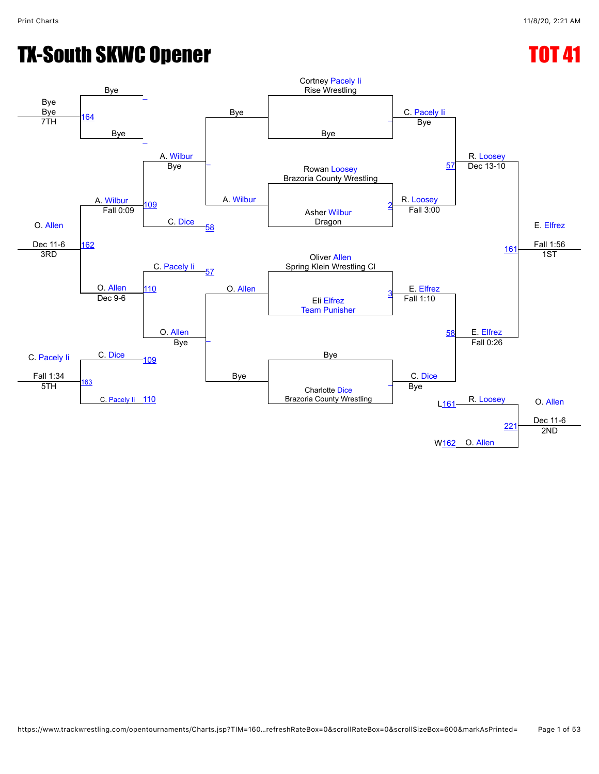## TX-South SKWC Opener TOT 41

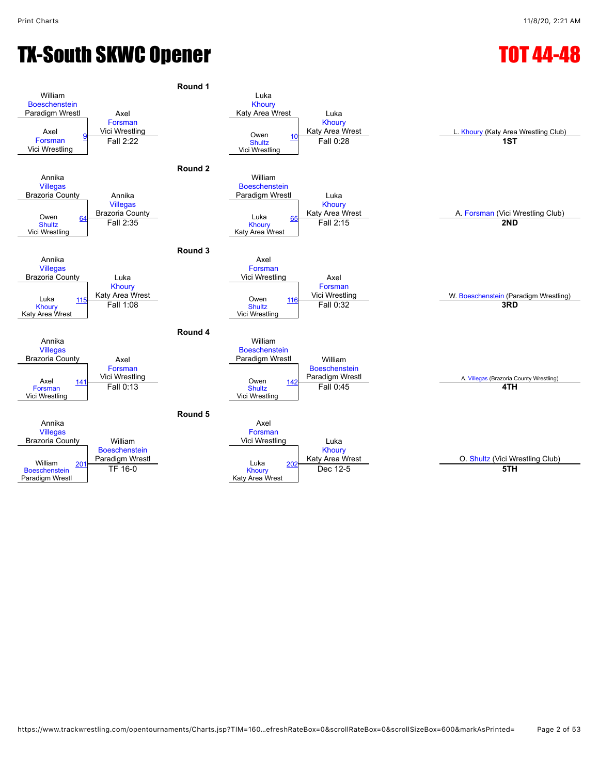## TX-South SKWC Opener TOT 44-48

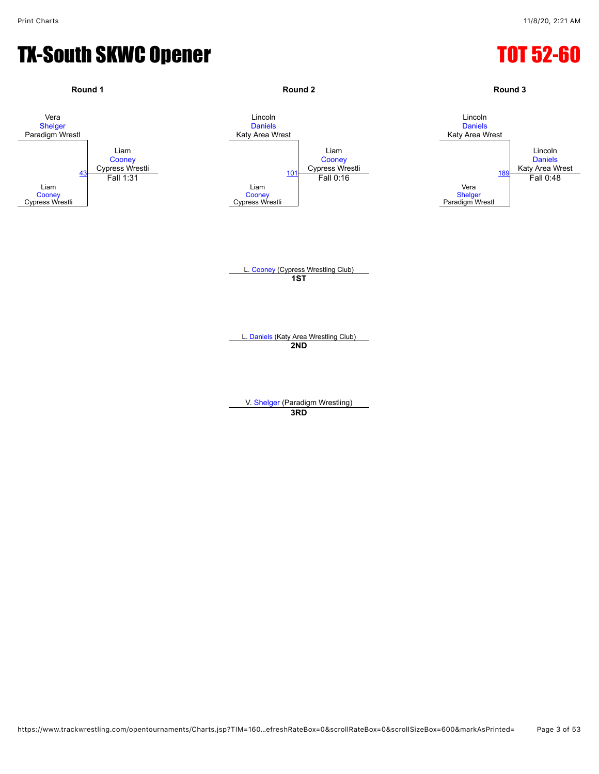#### TX-South SKWC Opener TOT 52-60

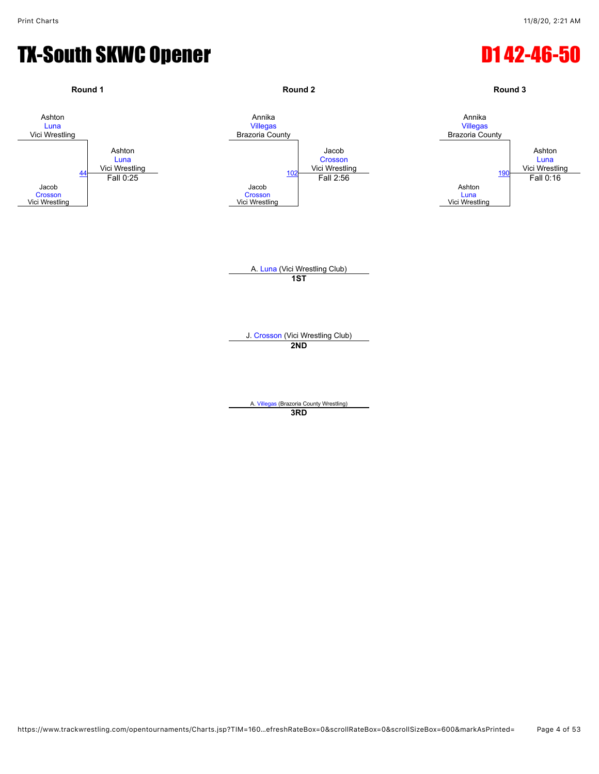#### TX-South SKWC Opener D1 42-46-50

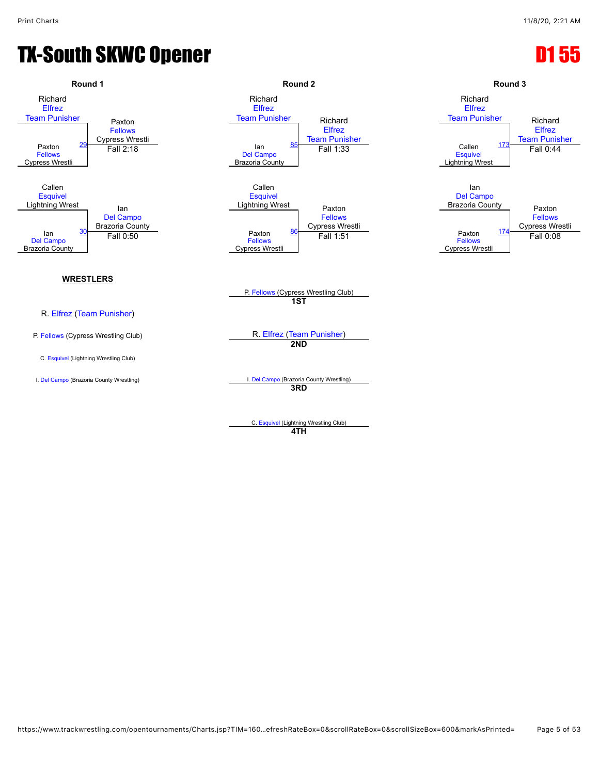### TX-South SKWC Opener **D1 55**



**4TH**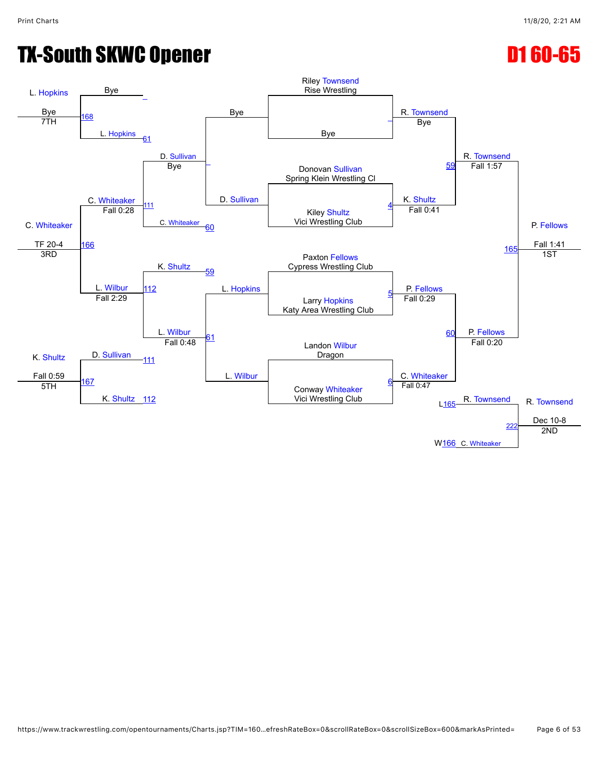## TX-South SKWC Opener **D1 60-65**

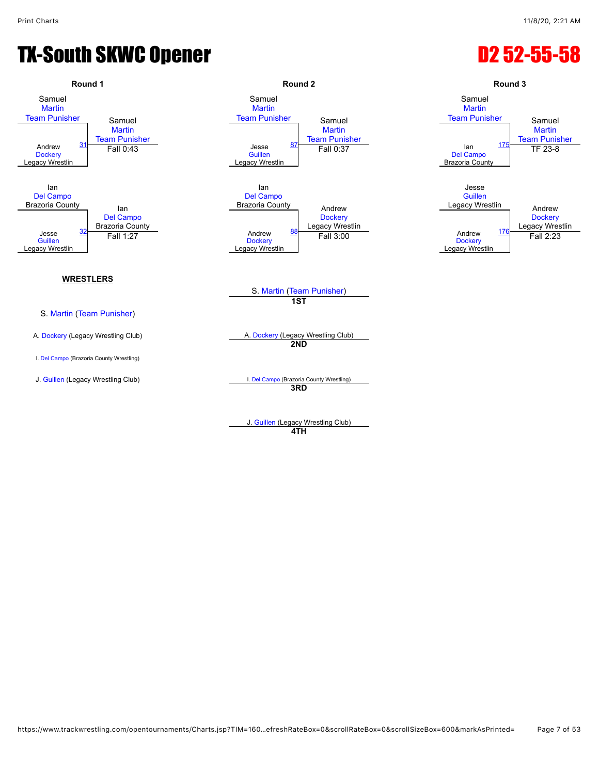## TX-South SKWC Opener **D2 52-55-58**



**4TH**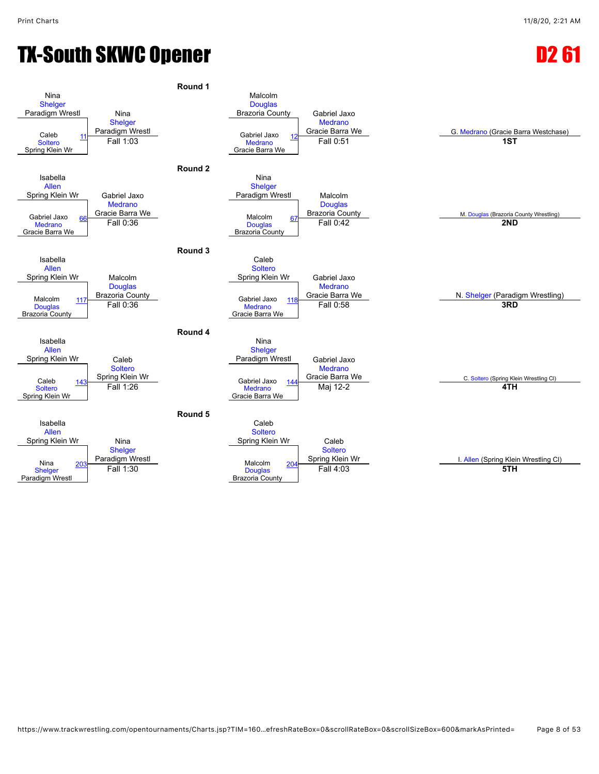## TX-South SKWC Opener **D2 61 and D2 61**

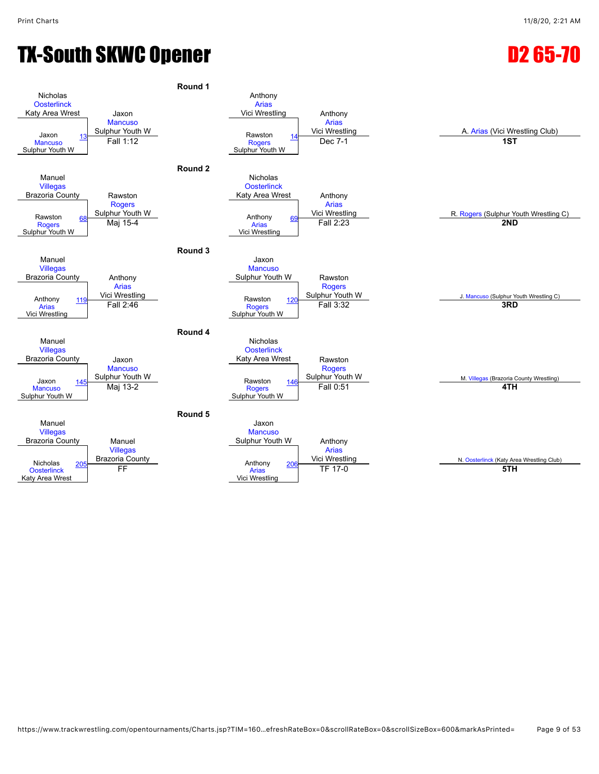## TX-South SKWC Opener **D2 65-70**

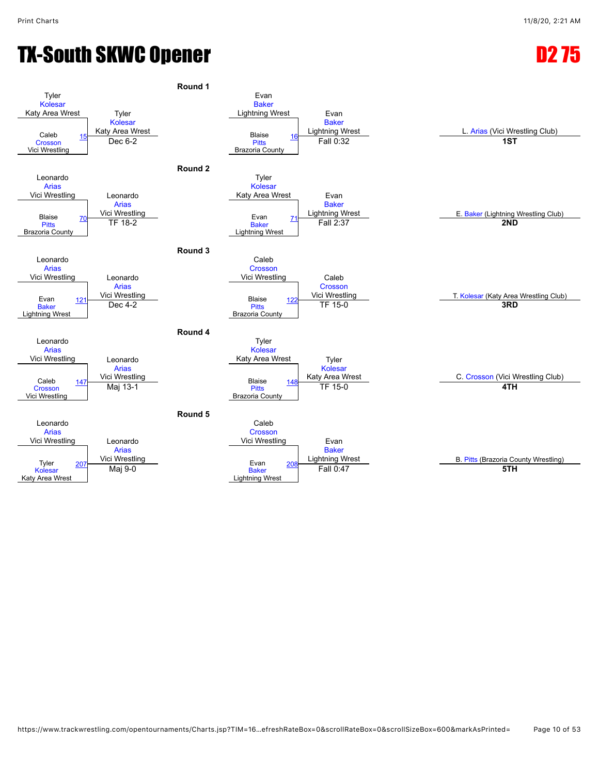## TX-South SKWC Opener **D2 75**

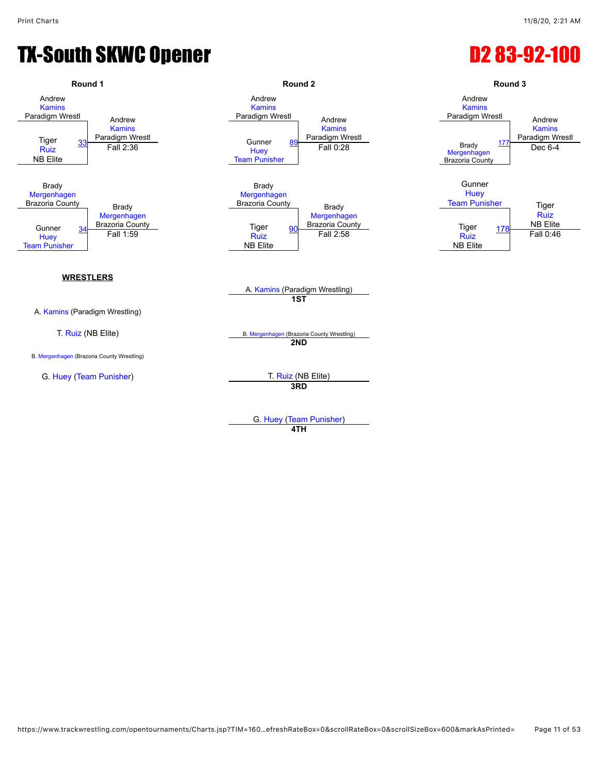#### TX-South SKWC Opener **D2 83-92-100**



G. [Huey](javascript:viewProfile(1170176096)) [\(Team Punisher\)](javascript:viewClub(232076))

**4TH**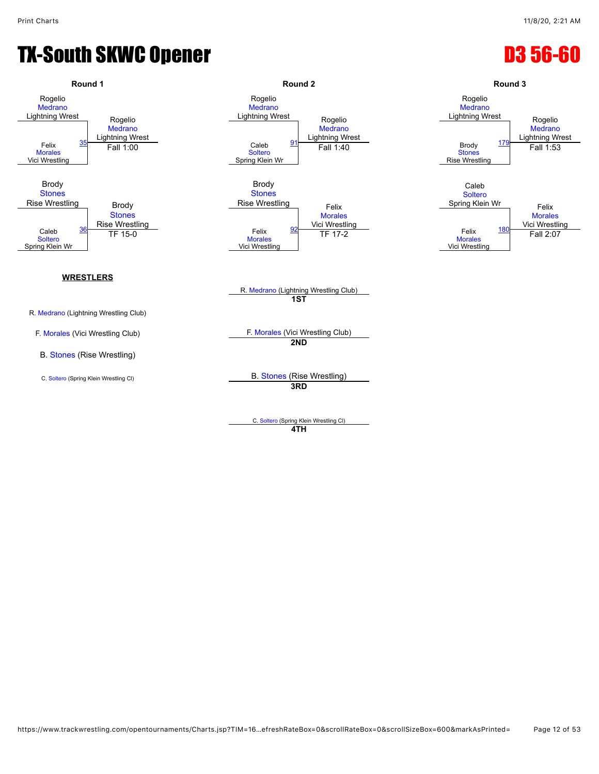## TX-South SKWC Opener **D3 56-60**



C. [Soltero](javascript:viewProfile(908161132)) (Spring Klein Wrestling Cl) **4TH**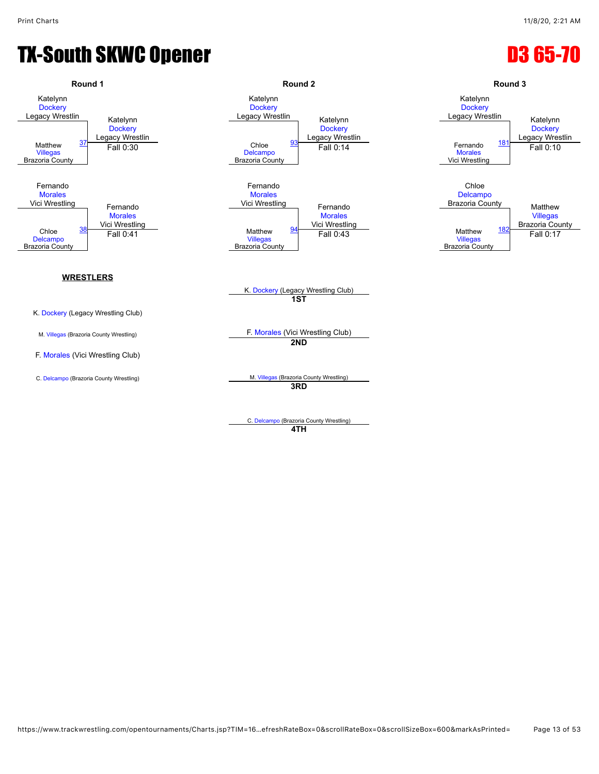#### TX-South SKWC Opener **D3 65-70**



**4TH**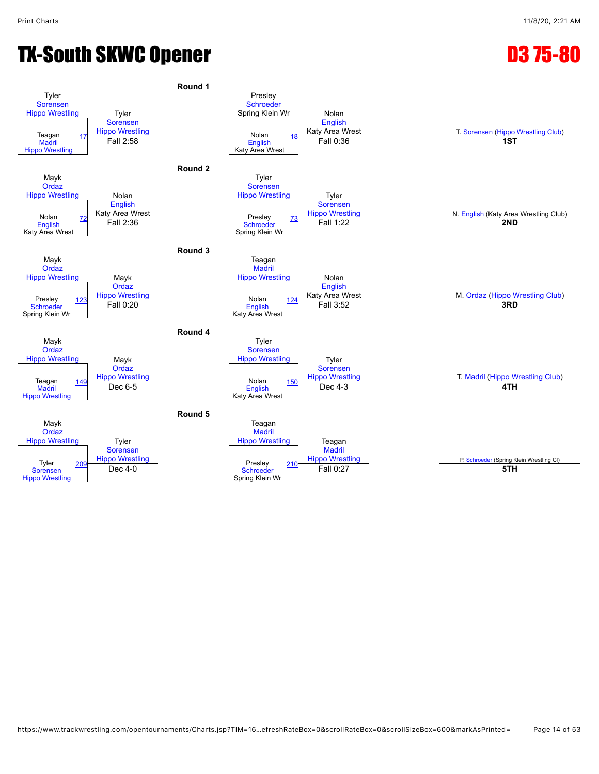## TX-South SKWC Opener **D3 75-80**

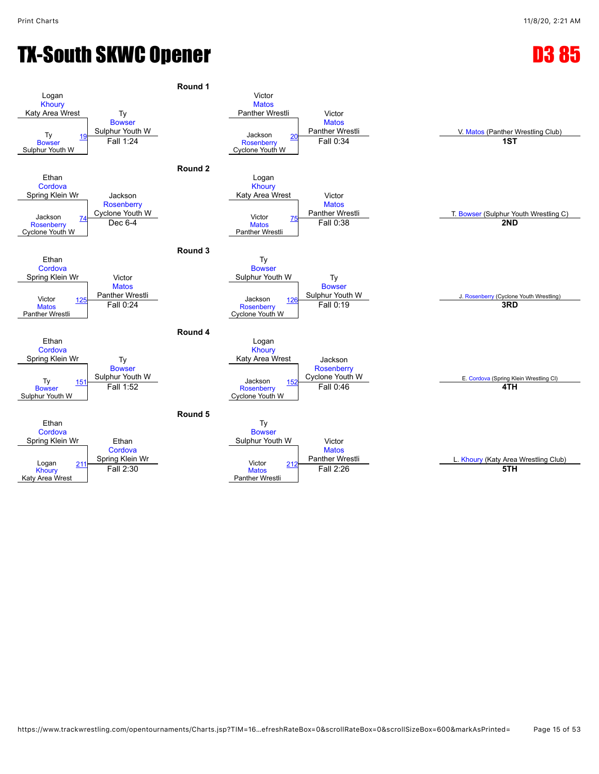## TX-South SKWC Opener **D3 85**

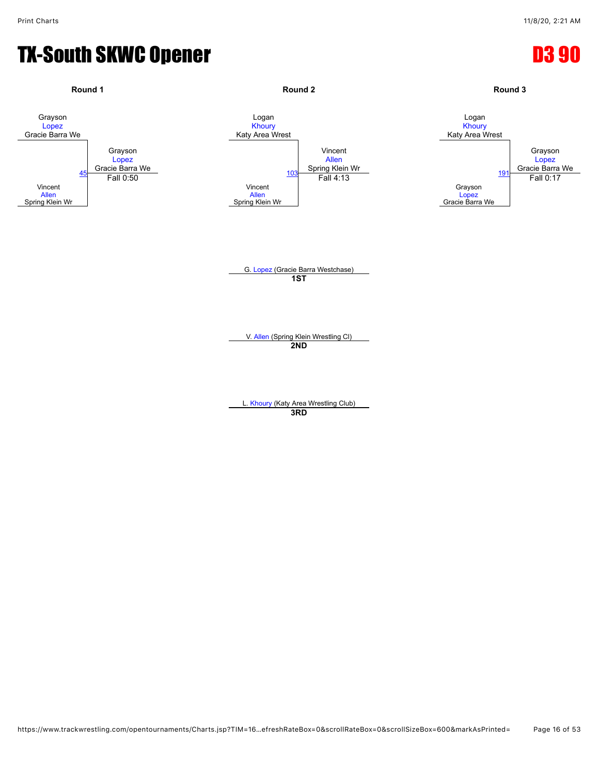#### TX-South SKWC Opener distribution of the D3 90

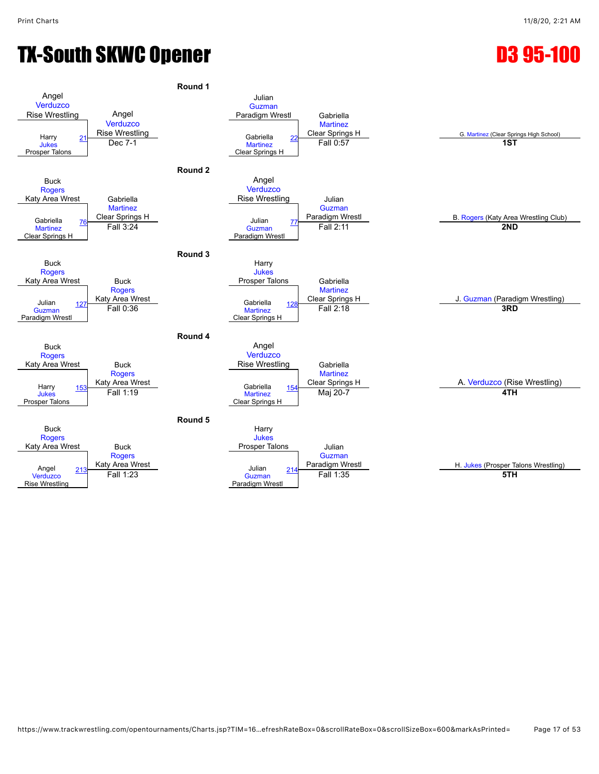## TX-South SKWC Opener **D3 95-100**

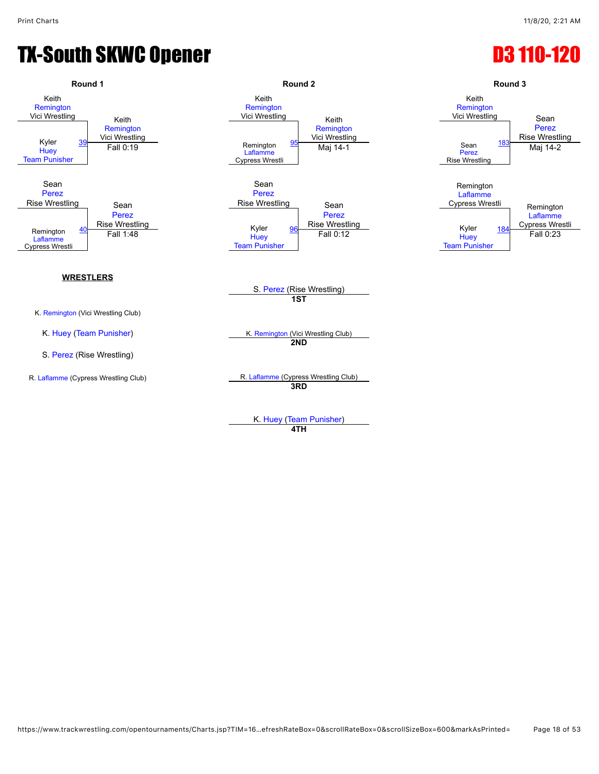#### TX-South SKWC Opener **D3 110-120**



K. [Huey](javascript:viewProfile(1170175096)) ([Team Punisher](javascript:viewClub(232076))) **4TH**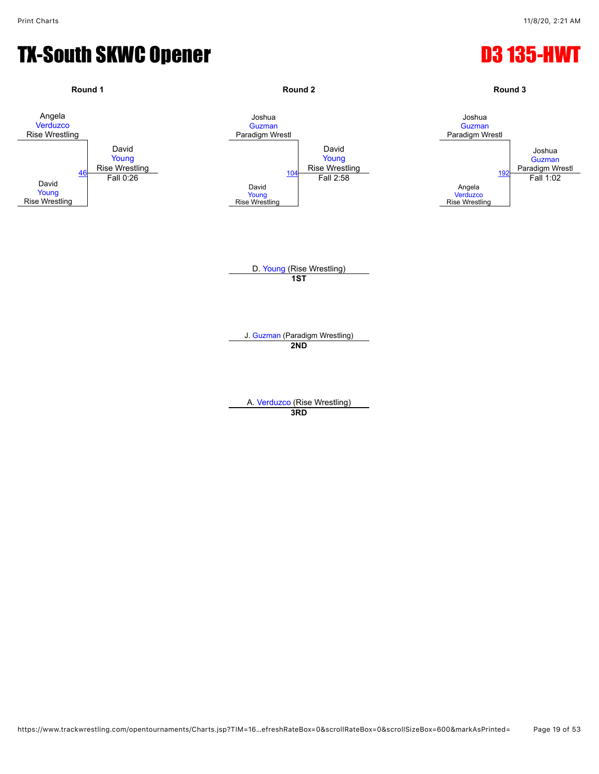#### TX-South SKWC Opener **D3 135-HWT**

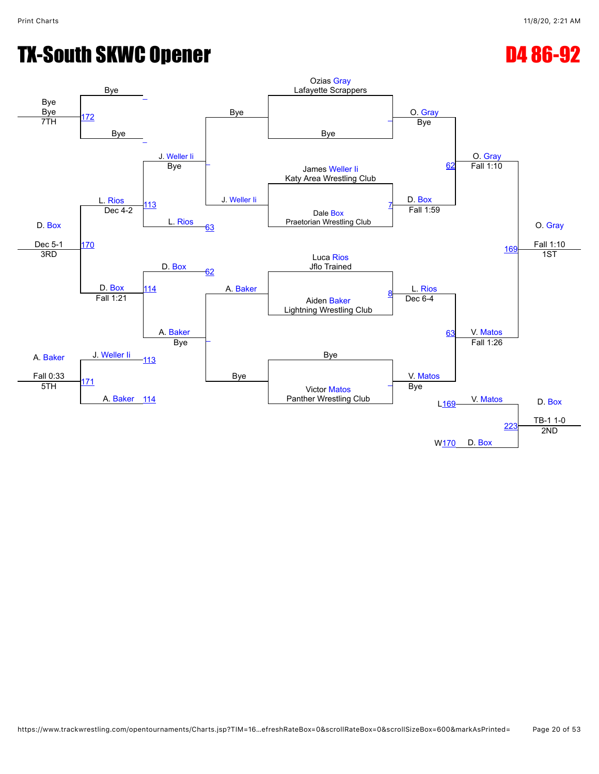# TX-South SKWC Opener **D4 86-92**

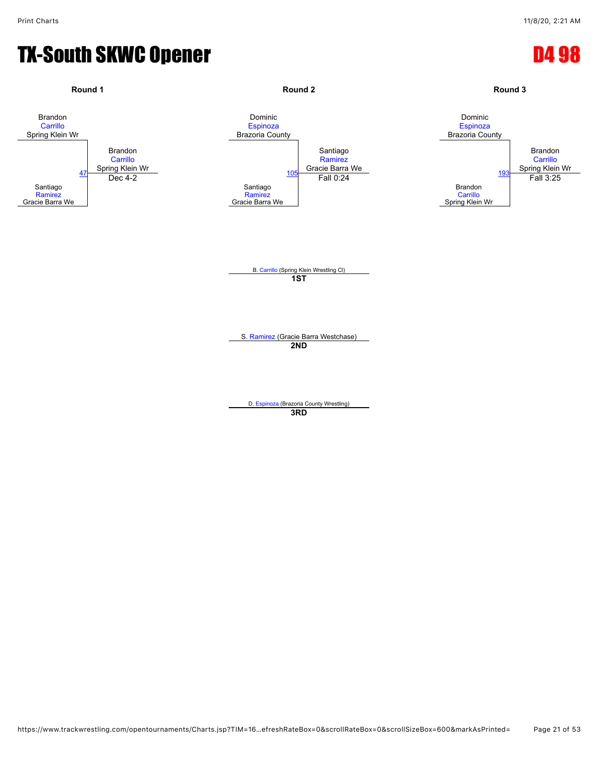#### TX-South SKWC Opener **D4 98**

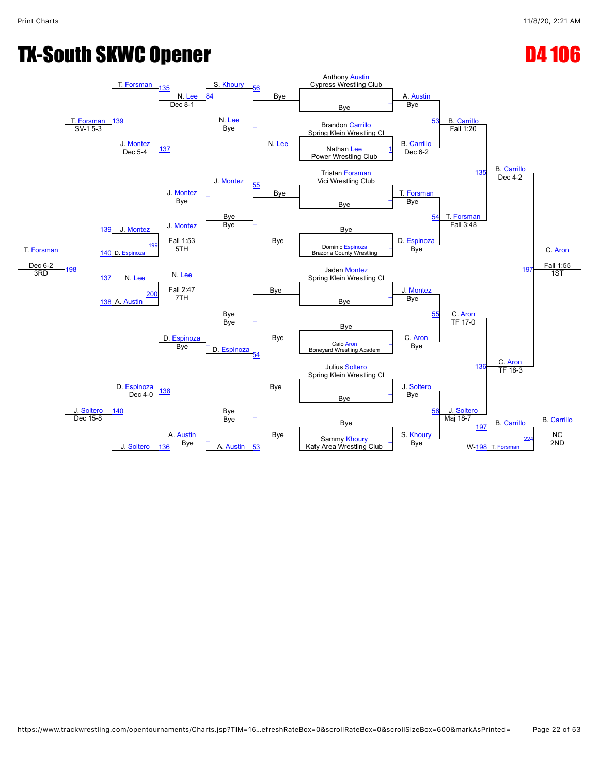## TX-South SKWC Opener D4 106

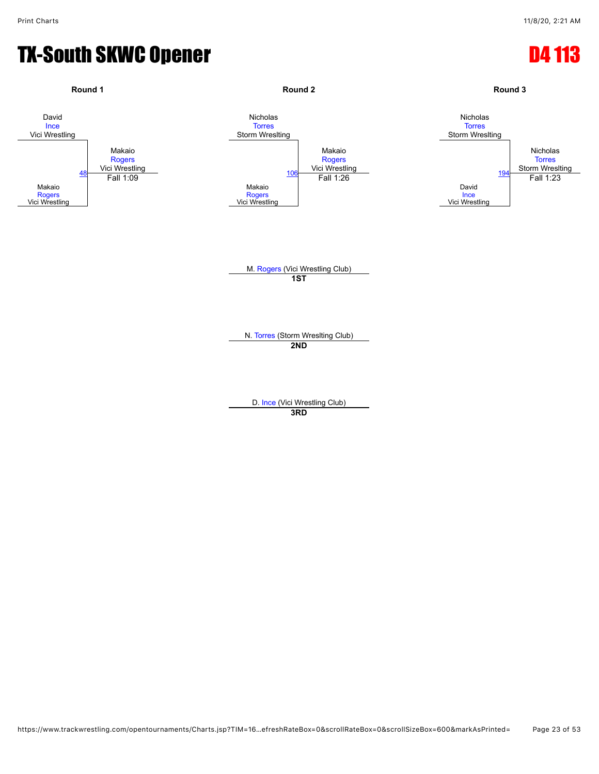#### TX-South SKWC Opener **D4 113**

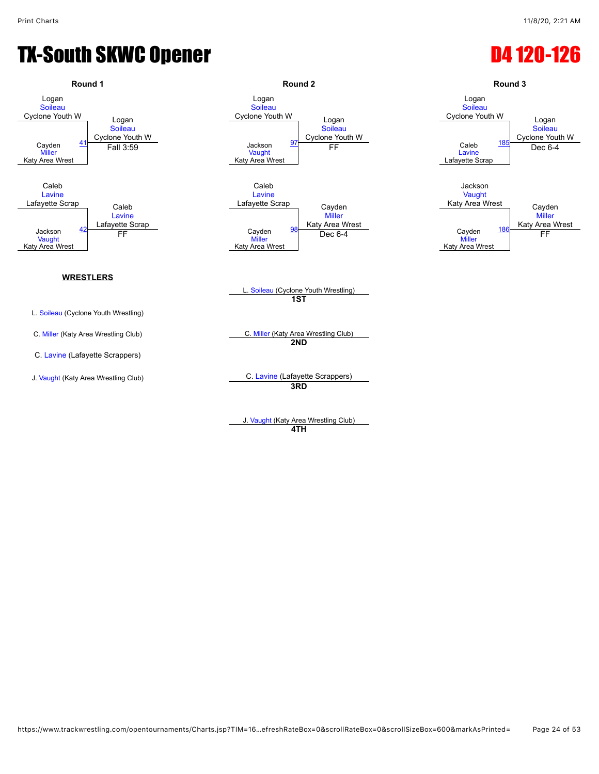## TX-South SKWC Opener D4 120-126

![](_page_23_Figure_3.jpeg)

J. [Vaught](javascript:viewProfile(740589096)) (Katy Area Wrestling Club) **4TH**

![](_page_23_Figure_6.jpeg)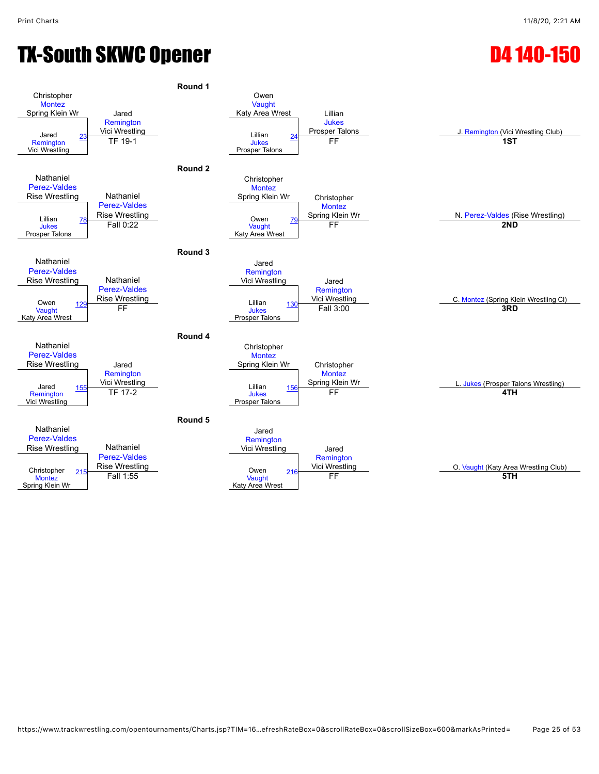## TX-South SKWC Opener **D4 140-150**

![](_page_24_Figure_3.jpeg)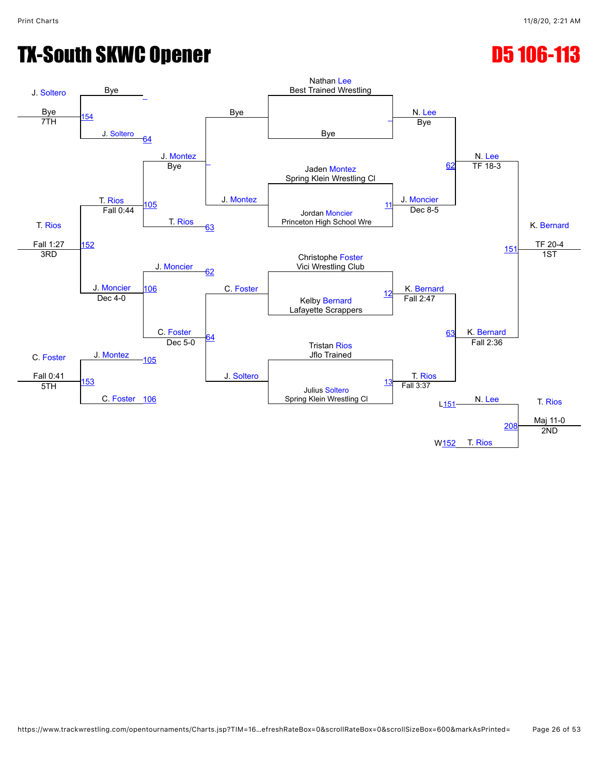## TX-South SKWC Opener **D5 106-113**

![](_page_25_Figure_3.jpeg)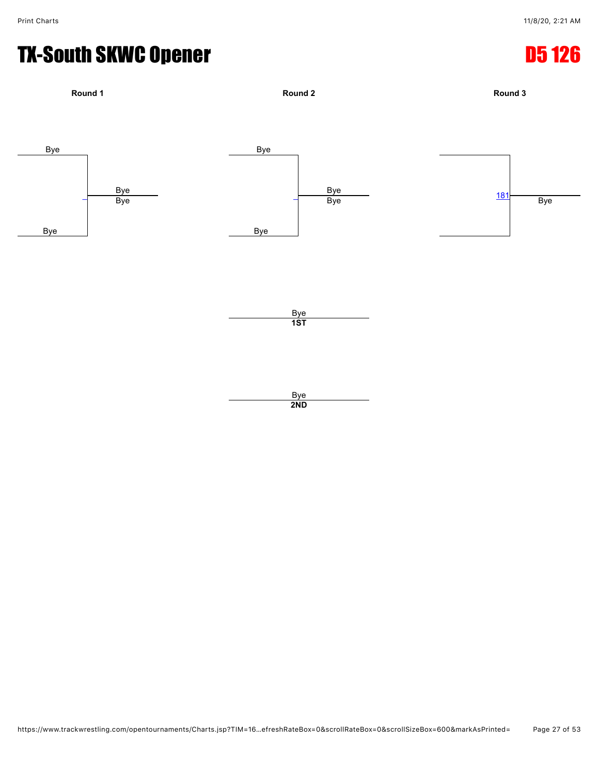#### TX-South SKWC Opener **D5 126**

![](_page_26_Figure_3.jpeg)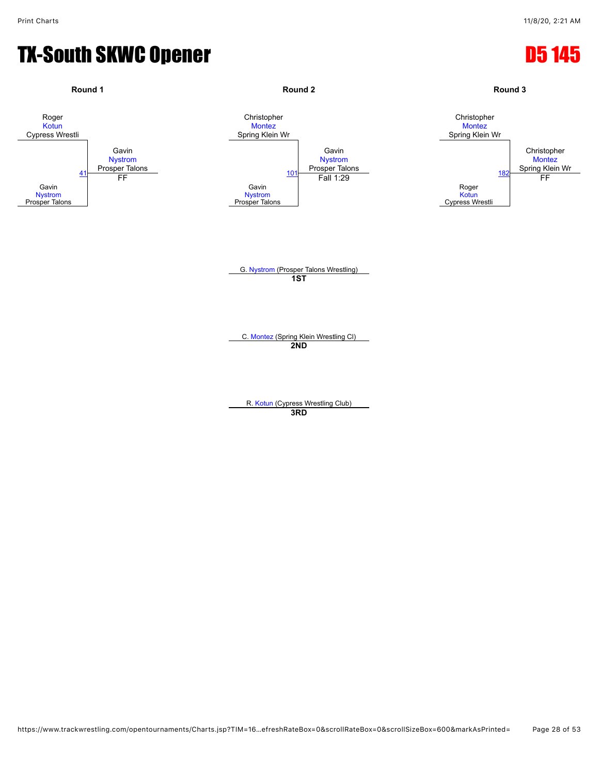#### TX-South SKWC Opener **D5 145**

![](_page_27_Figure_3.jpeg)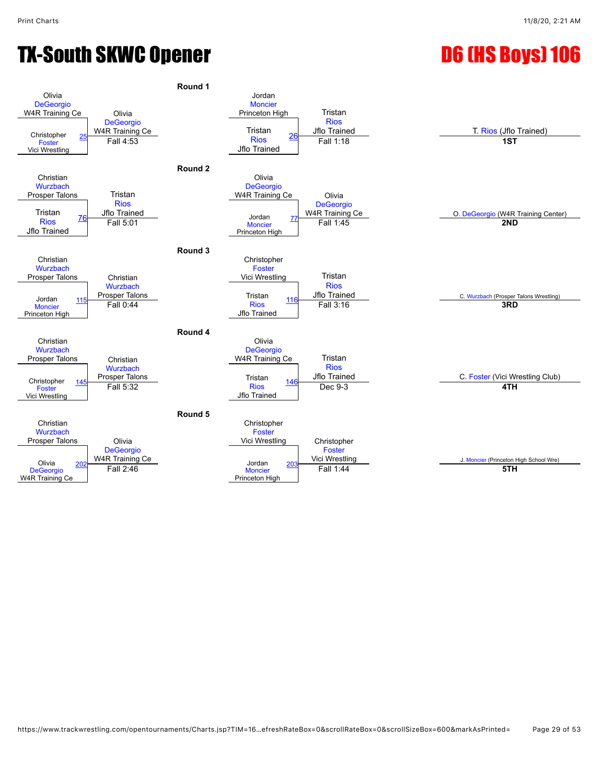![](_page_28_Figure_4.jpeg)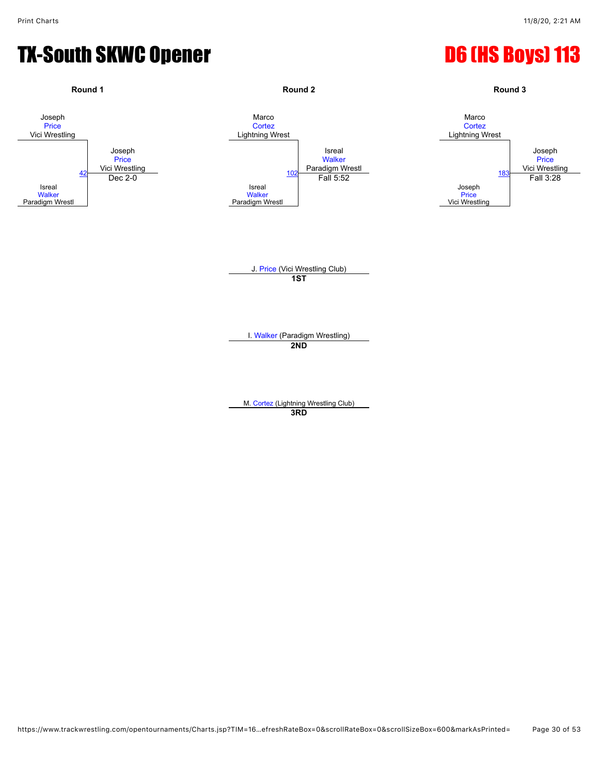![](_page_29_Figure_3.jpeg)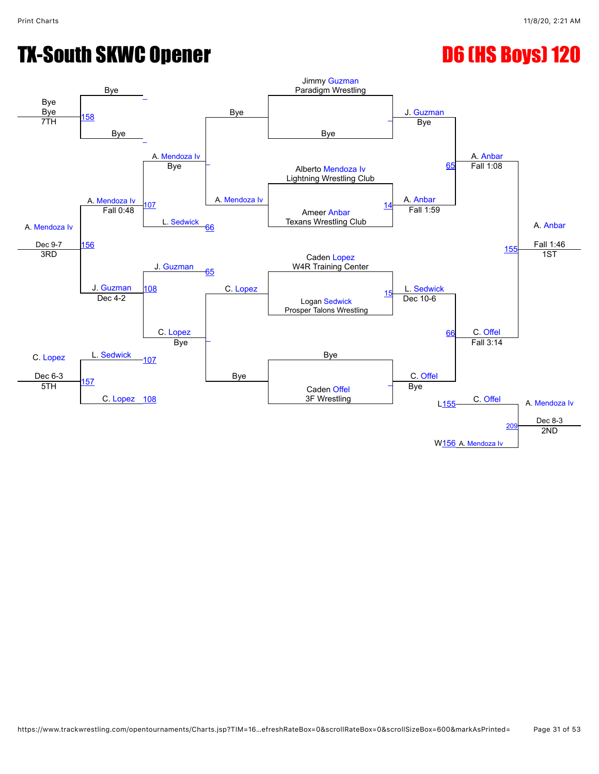![](_page_30_Figure_3.jpeg)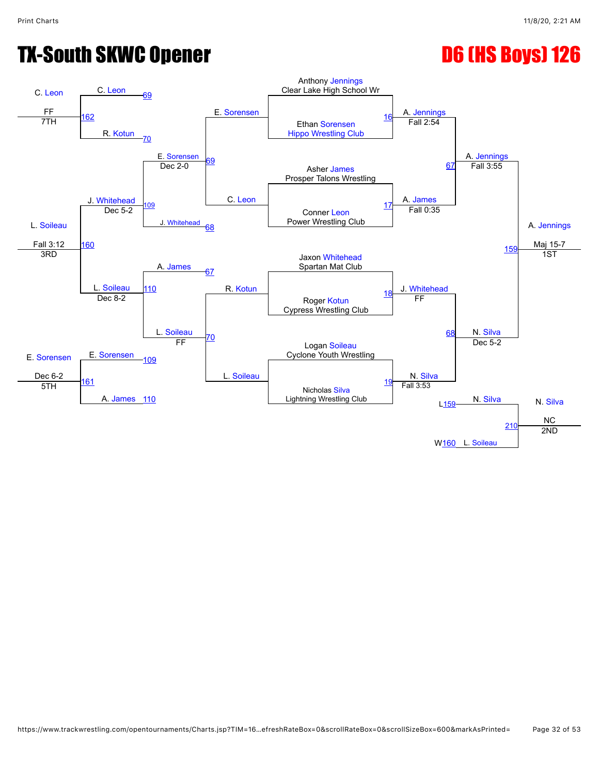![](_page_31_Figure_3.jpeg)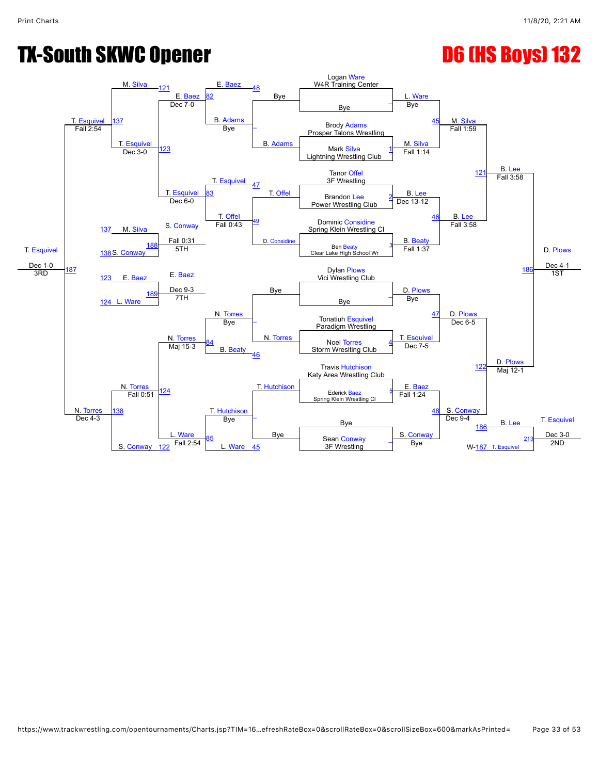![](_page_32_Figure_3.jpeg)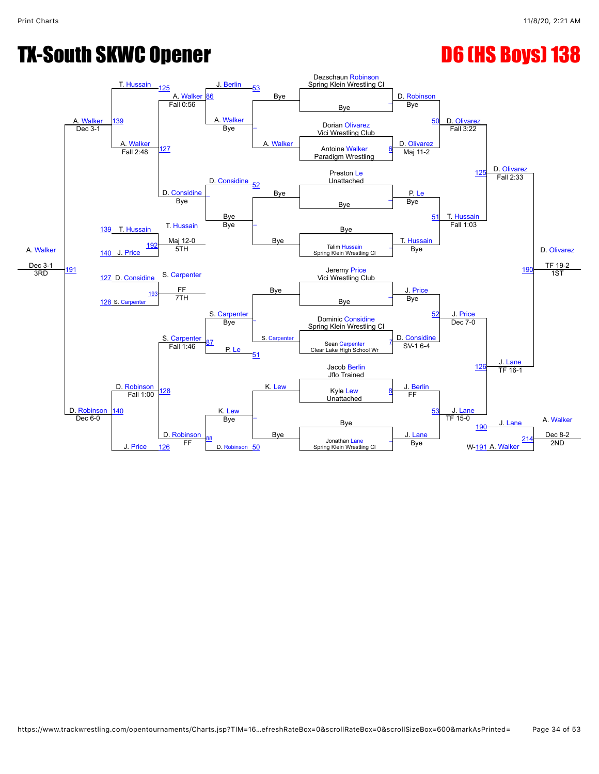![](_page_33_Figure_3.jpeg)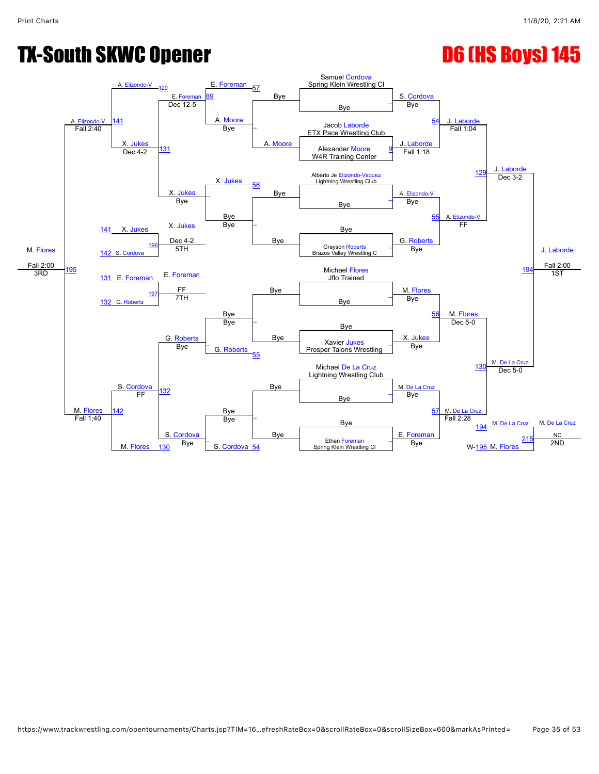![](_page_34_Figure_3.jpeg)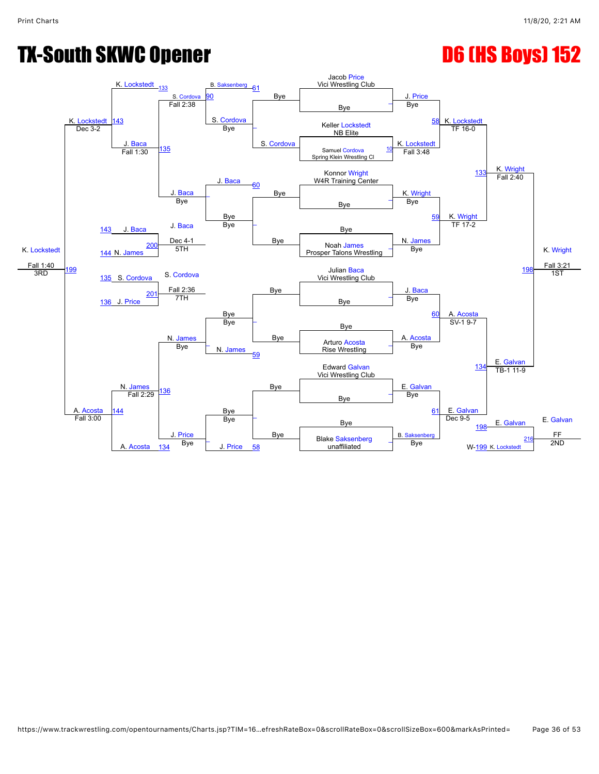![](_page_35_Figure_3.jpeg)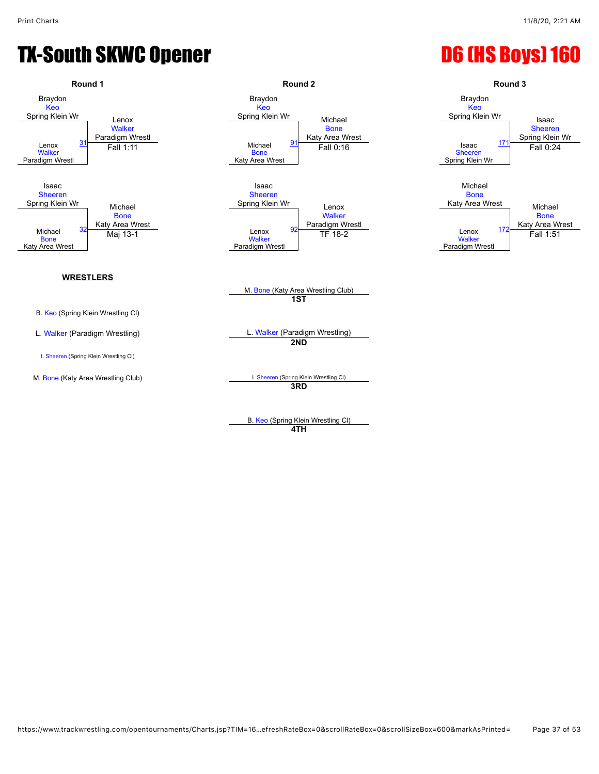![](_page_36_Figure_3.jpeg)

B. [Keo](javascript:viewProfile(692664135)) (Spring Klein Wrestling Cl) **4TH**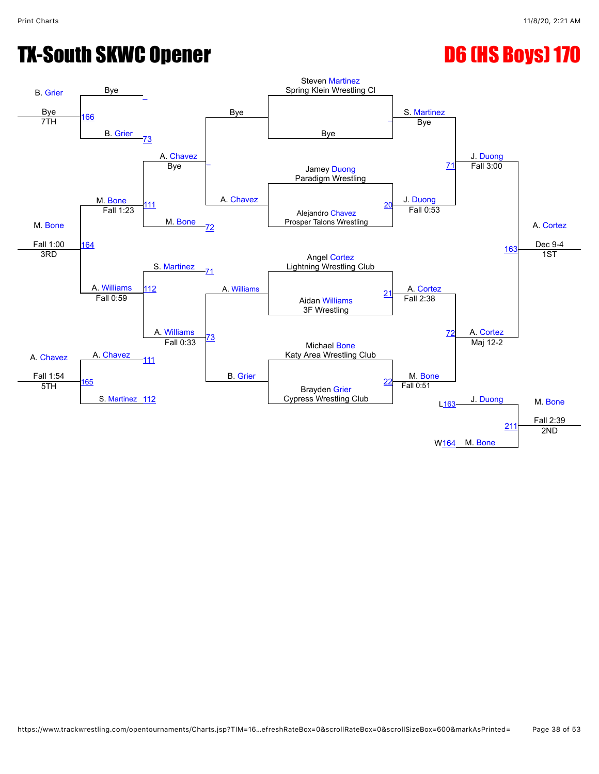![](_page_37_Figure_3.jpeg)

#### https://www.trackwrestling.com/opentournaments/Charts.jsp?TIM=16…efreshRateBox=0&scrollRateBox=0&scrollSizeBox=600&markAsPrinted= Page 38 of 53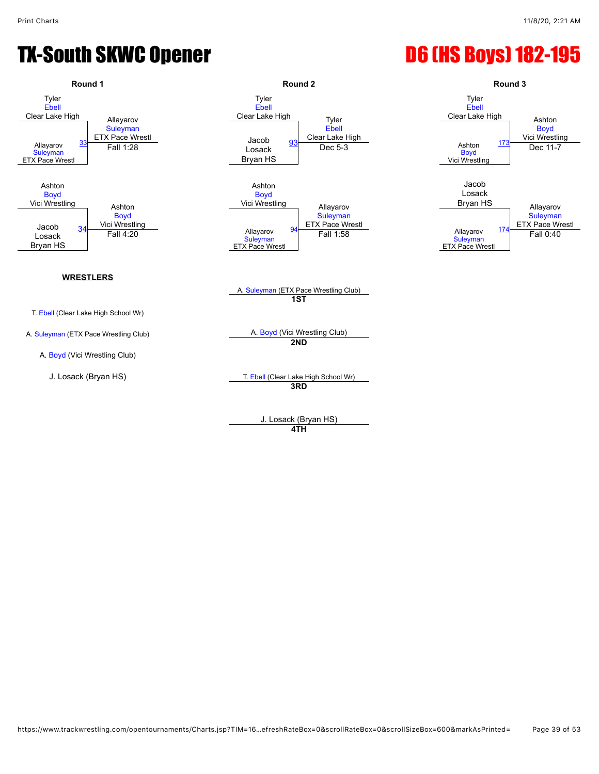![](_page_38_Figure_3.jpeg)

J. Losack (Bryan HS) **4TH**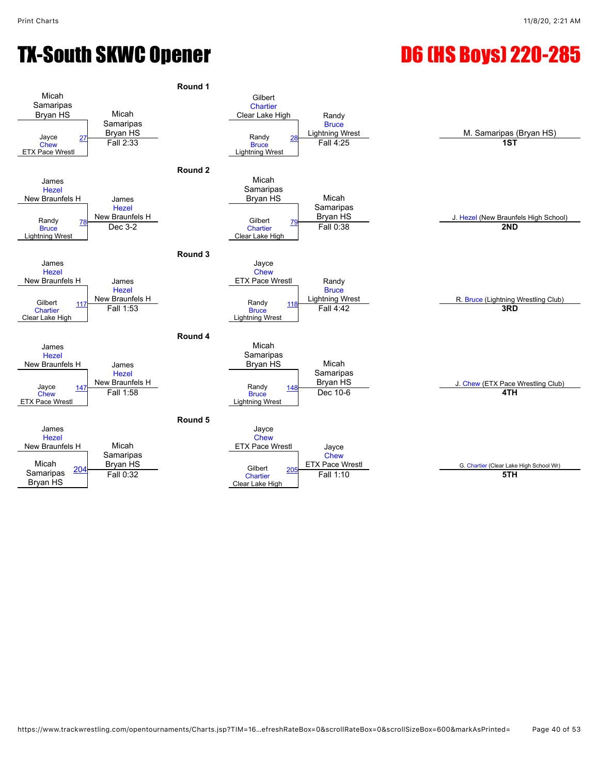![](_page_39_Figure_3.jpeg)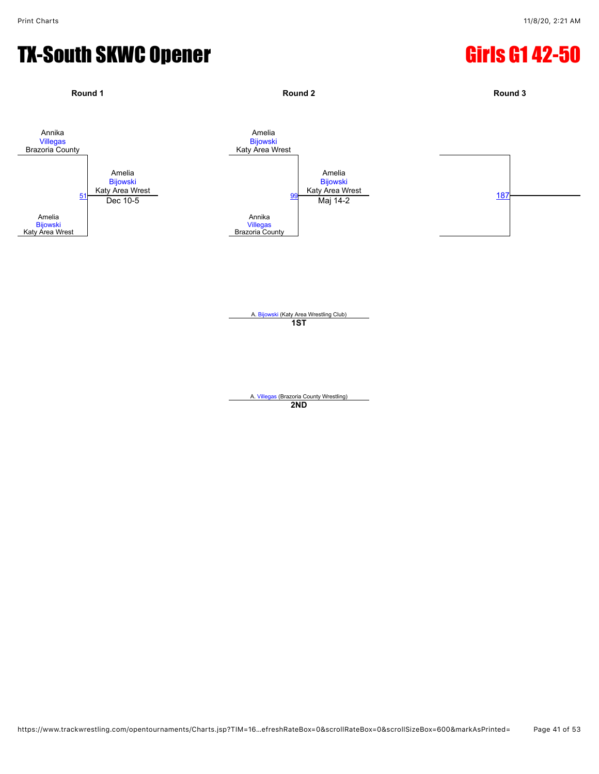## TX-South SKWC Opener Girls G1 42-50

![](_page_40_Figure_3.jpeg)

A. [Bijowski](javascript:viewProfile(698340135)) (Katy Area Wrestling Club) **1ST**

A. [Villegas](javascript:viewProfile(896283132)) (Brazoria County Wrestling) **2ND**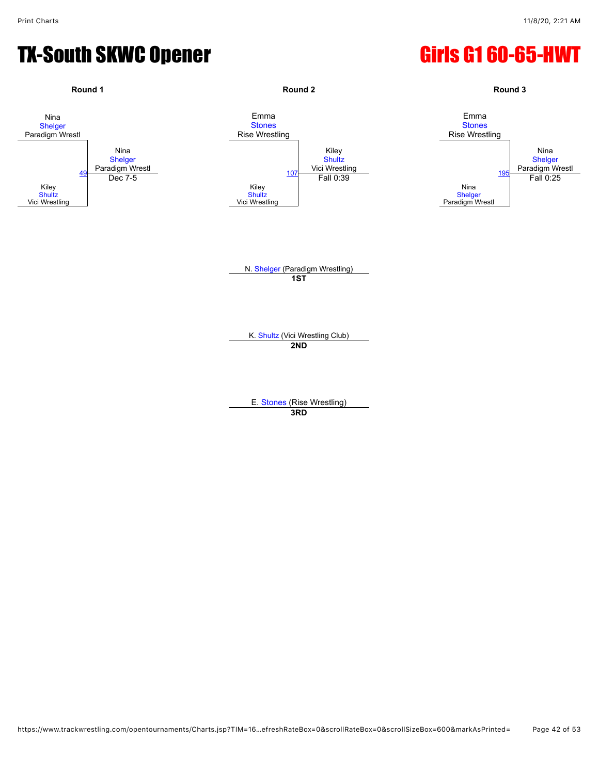#### TX-South SKWC Opener Girls G1 60-65-HWT

![](_page_41_Figure_3.jpeg)

**3RD**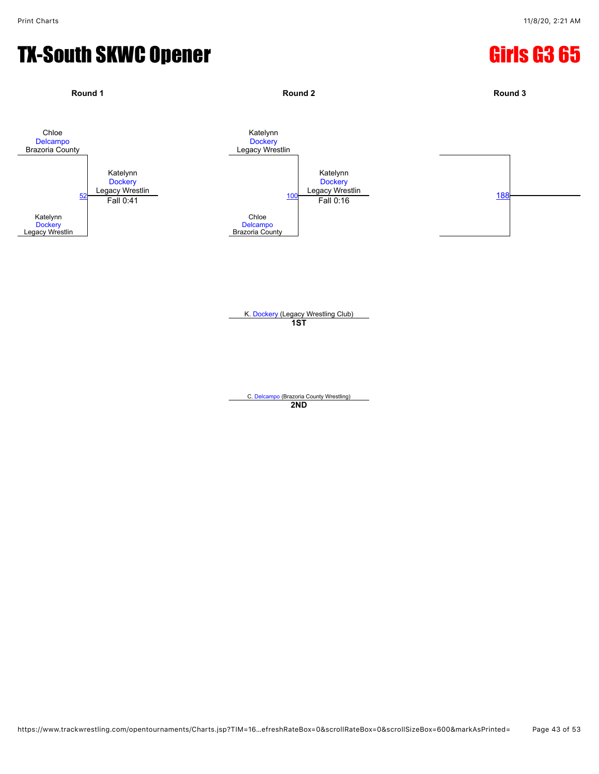#### TX-South SKWC Opener Girls G3 65

![](_page_42_Figure_3.jpeg)

K. [Dockery](javascript:viewProfile(1331288096)) (Legacy Wrestling Club) **1ST**

C. [Delcampo](javascript:viewProfile(384101135)) (Brazoria County Wrestling) **2ND**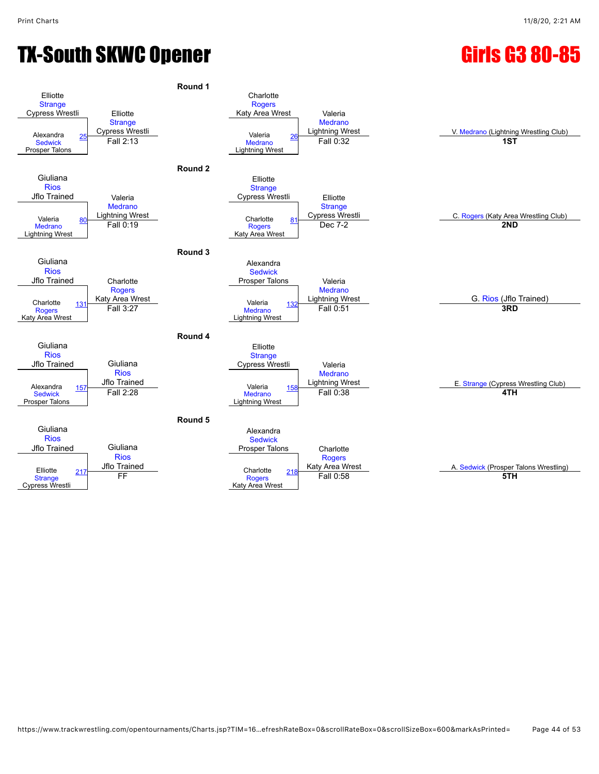## TX-South SKWC Opener Girls G3 80-85

![](_page_43_Figure_4.jpeg)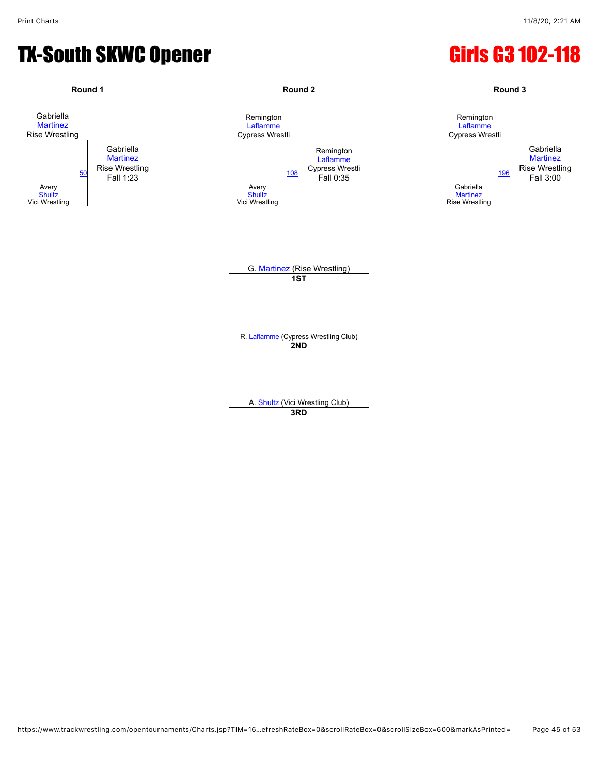#### TX-South SKWC Opener Gas Communications of Girls G3 102-118

![](_page_44_Figure_3.jpeg)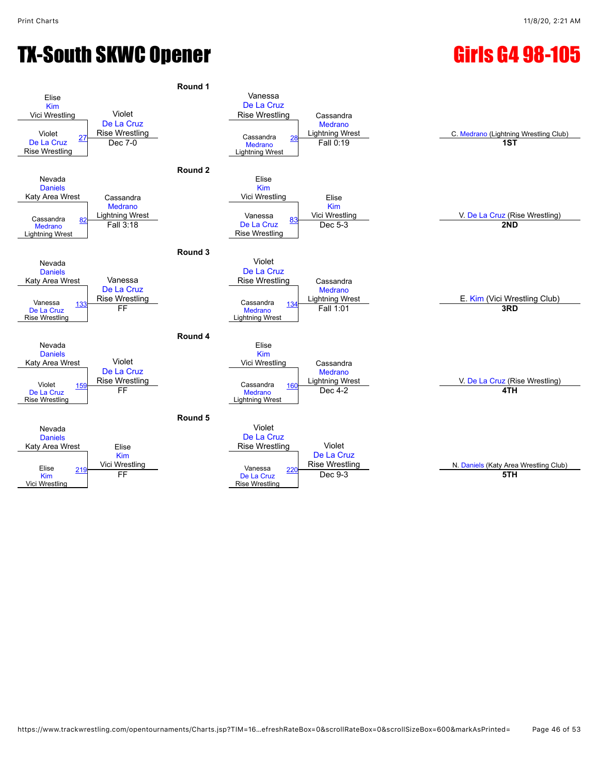## TX-South SKWC Opener Girls G4 98-105

![](_page_45_Figure_4.jpeg)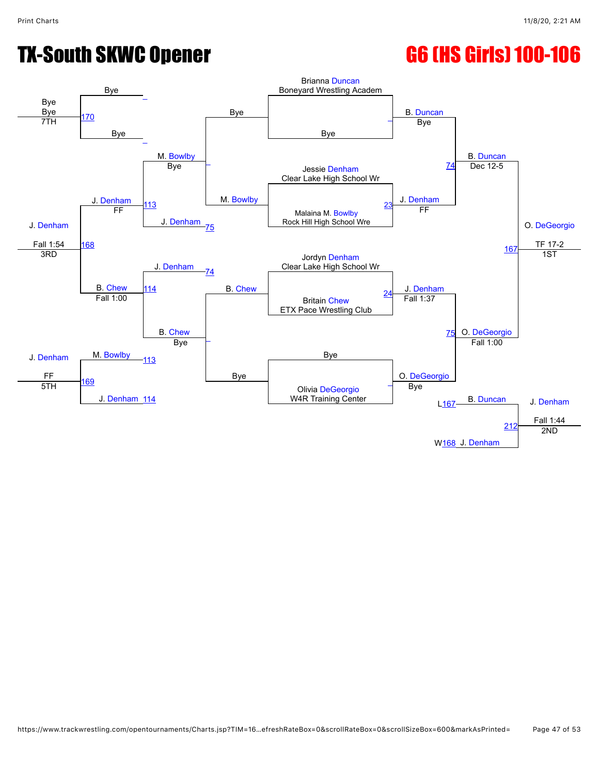# TX-South SKWC Opener G6 (HS Girls) 100-106

#### Bye Bye Bye [\\_](javascript:openBoutSheet(6,) Bye Brianna [Duncan](javascript:viewProfile(1118993096)) Boneyard Wrestling Academ B. [Duncan](javascript:viewProfile(1118993096)) B. [Duncan](javascript:viewProfile(1118993096)) O. [DeGeorgio](javascript:viewProfile(23412096)) TF 17-2 [170](javascript:openBoutSheet(14,) Bye Bye  $\frac{27}{7TH}$  170  $\ddot{\phantom{0}}$ M. [Bowlby](javascript:viewProfile(698970135)) M. [Bowlby](javascript:viewProfile(698970135)) Bye J. [Denham](javascript:viewProfile(685939135)) Jessie [Denham](javascript:viewProfile(700158135)) Clear Lake High School Wr J. [Denham](javascript:viewProfile(685939135)) Fall 1:54 Bye J. [Denham](javascript:viewProfile(700158135)) [74](javascript:openBoutSheet(5,) Dec 12-5 [113](javascript:openBoutSheet(9,) J. [Denham](javascript:viewProfile(685939135)) Malaina M. [Bowlby](javascript:viewProfile(698970135)) Rock Hill High School Wre [23](javascript:openBoutSheet(2,) [168](javascript:openBoutSheet(12,) FF [75](javascript:openBoutSheet(7,) FF [167](javascript:openBoutSheet(11,) J. [Denham](javascript:viewProfile(700158135)) Jordyn [Denham](javascript:viewProfile(685939135)) Clear Lake High School Wr 3RD B. [Chew](javascript:viewProfile(697417135)) [74](javascript:openBoutSheet(5,) B. [Chew](javascript:viewProfile(697417135)) J. [Denham](javascript:viewProfile(685939135)) 1ST [114](javascript:openBoutSheet(10,) Britain [Chew](javascript:viewProfile(697417135)) ETX Pace Wrestling Club [24](javascript:openBoutSheet(3,) J. [Denham](javascript:viewProfile(700158135)) FF Fall 1:00 B. [Chew](javascript:viewProfile(697417135)) [\\_](javascript:openBoutSheet(8,) Bye Fall 1:37 [75](javascript:openBoutSheet(7,) O. [DeGeorgio](javascript:viewProfile(23412096)) M. [Bowlby](javascript:viewProfile(698970135)) [113](javascript:openBoutSheet(9,) Bye Bye O. [DeGeorgio](javascript:viewProfile(23412096)) Fall 1:00 [169](javascript:openBoutSheet(13,) J. [Denham](javascript:viewProfile(700158135)) [114](javascript:openBoutSheet(10,) Olivia [DeGeorgio](javascript:viewProfile(23412096)) W4R Training Center [\\_](javascript:openBoutSheet(4,) B. [Duncan](javascript:viewProfile(1118993096)) J. [Denham](javascript:viewProfile(685939135)) Fall 1:44 5TH Bye  $L<sub>167</sub>$ W<sub>168</sub> J. [Denham](javascript:viewProfile(685939135)) [212](javascript:openBoutSheet(15,) 2ND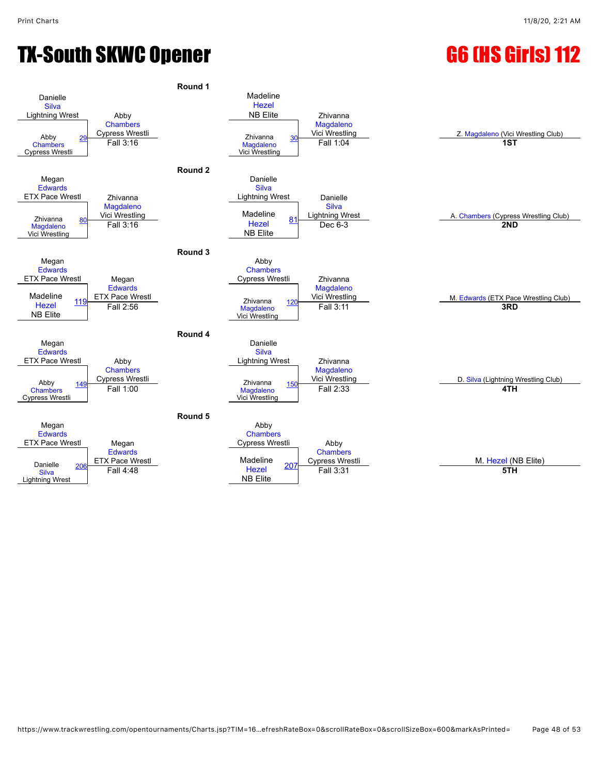## TX-South SKWC Opener G6 (HS Girls) 112

![](_page_47_Figure_4.jpeg)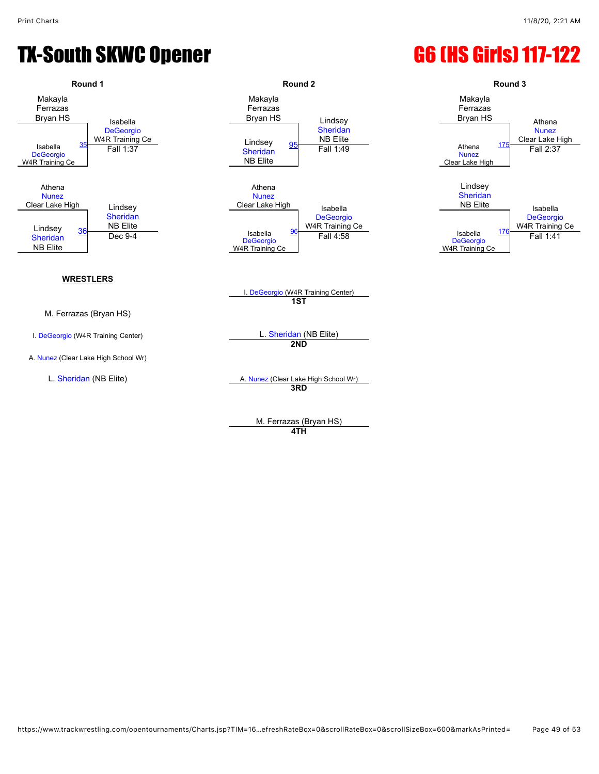### TX-South SKWC Opener G6 (HS Girls) 117-122

![](_page_48_Figure_3.jpeg)

**4TH**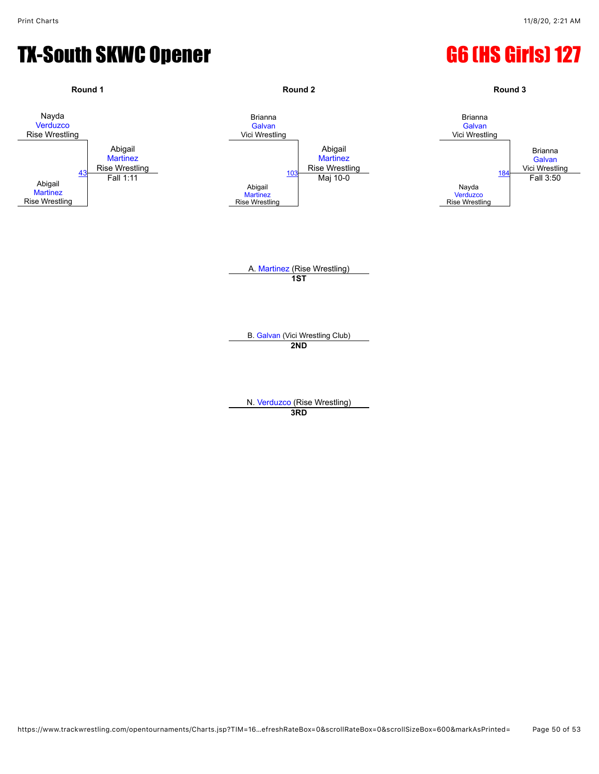## TX-South SKWC Opener G6 (HS Girls) 127

![](_page_49_Figure_3.jpeg)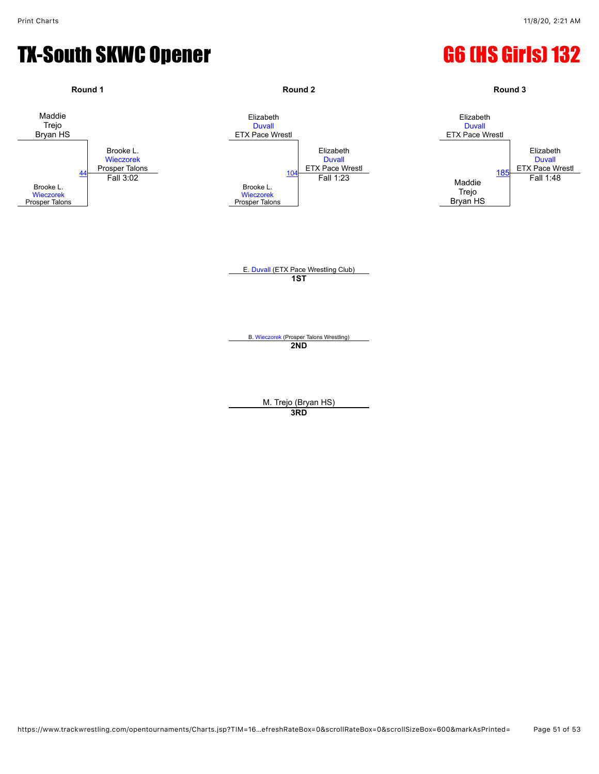#### TX-South SKWC Opener G6 (HS Girls) 132

![](_page_50_Figure_3.jpeg)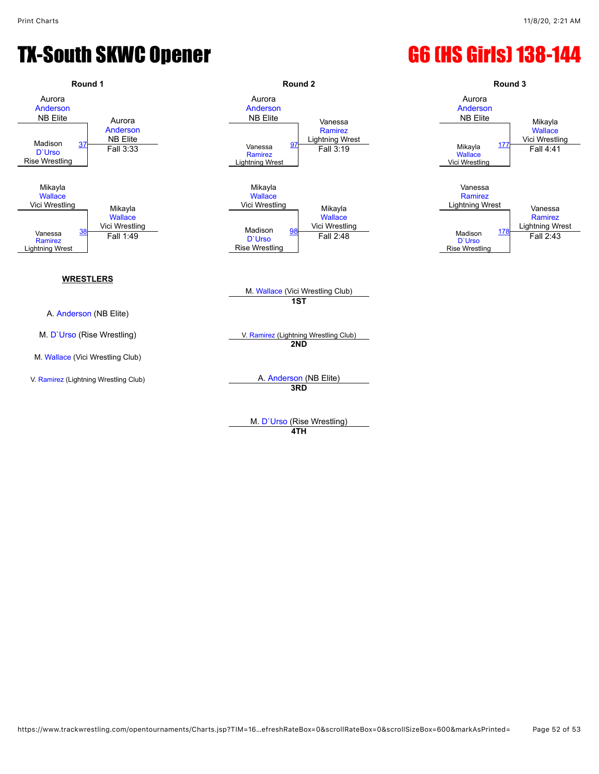## TX-South SKWC Opener G6 (HS Girls) 138-144

![](_page_51_Figure_3.jpeg)

**4TH**